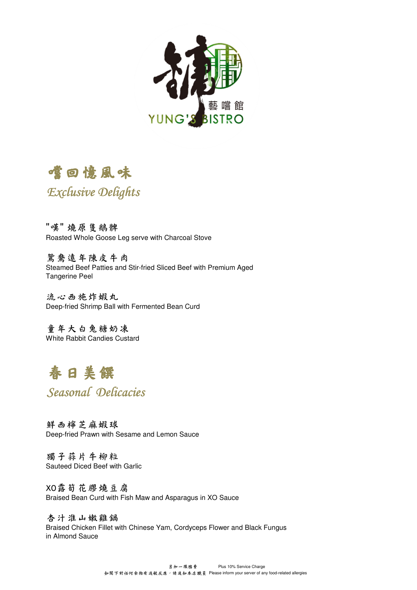



## Exclusive Delights

"嘆" 燒原隻鵝髀 Roasted Whole Goose Leg serve with Charcoal Stove

鴛鴦遠年陳皮牛肉 Steamed Beef Patties and Stir-fried Sliced Beef with Premium Aged Tangerine Peel

流心西施炸蝦丸 Deep-fried Shrimp Ball with Fermented Bean Curd

童年大白兔糖奶凍 White Rabbit Candies Custard

# 春日美饌

Seasonal Delicacies

鮮西檸芝麻蝦球 Deep-fried Prawn with Sesame and Lemon Sauce

獨子蒜片牛柳粒 Sauteed Diced Beef with Garlic

XO露筍花膠燒豆腐 Braised Bean Curd with Fish Maw and Asparagus in XO Sauce

杏汁淮山嫩雞鍋 Braised Chicken Fillet with Chinese Yam, Cordyceps Flower and Black Fungus in Almond Sauce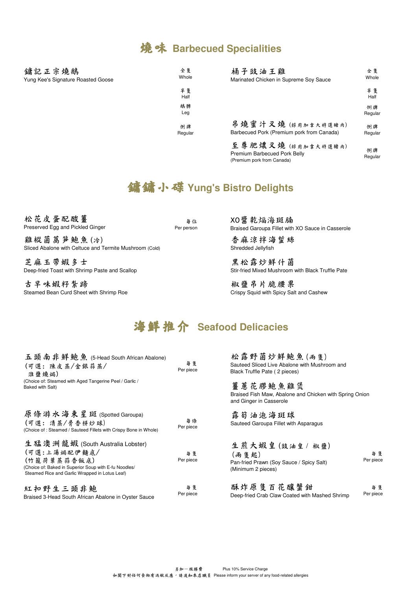#### 燒味 **Barbecued Specialities**

| 鏞記正宗燒鵝<br>Yung Kee's Signature Roasted Goose | 全隻<br>Whole   | 桶子豉油王雞<br>Marinated Chicken in Supreme Soy Sauce                                | 全隻<br>Whole   |
|----------------------------------------------|---------------|---------------------------------------------------------------------------------|---------------|
|                                              | 半隻<br>Half    |                                                                                 | 半隻<br>Half    |
|                                              | 鵝髀<br>Leg     |                                                                                 | 例牌<br>Regular |
|                                              | 例牌<br>Regular | 吊燒蜜汁叉燒(採用加拿大特選豬肉)<br>Barbecued Pork (Premium pork from Canada)                  | 例牌<br>Regular |
|                                              |               | 至尊肥煤叉燒(採用加拿大特選豬肉)<br>Premium Barbecued Pork Belly<br>(Premium pork from Canada) | 例牌<br>Regular |

## 鏞鏞小碟**Yung's Bistro Delights**

松花皮蛋配酸薑 Preserved Egg and Pickled Ginger

每位 Per person

雞樅菌萵笋鮑魚(冷) Sliced Abalone with Celtuce and Termite Mushroom (Cold)

芝麻玉帶蝦多士 Deep-fried Toast with Shrimp Paste and Scallop

古早味蝦籽紮蹄 Steamed Bean Curd Sheet with Shrimp Roe XO醬乾煏海斑腩 Braised Garoupa Fillet with XO Sauce in Casserole

香麻涼拌海蜇絲 Shredded Jellyfish

黑松露炒鮮什菌 Stir-fried Mixed Mushroom with Black Truffle Pate

椒鹽吊片脆腰果 Crispy Squid with Spicy Salt and Cashew

## 海鮮推介 **Seafood Delicacies**

| 五頭南非鮮鮑魚 (5-Head South African Abalone)<br>(可選:陳皮蒸/金銀蒜蒸/<br>淮鹽燒焗)<br>(Choice of: Steamed with Aged Tangerine Peel / Garlic /<br>Baked with Salt)                            | 每隻<br>Per piece | 松露野菌炒鮮鮑魚(雨隻)<br>Sauteed Sliced Live Abalone with Mushroom and<br>Black Truffle Pate (2 pieces)<br>薑蔥花膠鮑魚雞煲<br>Braised Fish Maw, Abalone and Chicken with Spring Onion<br>and Ginger in Casserole |                 |
|----------------------------------------------------------------------------------------------------------------------------------------------------------------------------|-----------------|--------------------------------------------------------------------------------------------------------------------------------------------------------------------------------------------------|-----------------|
| 原條游水海東星斑(Spotted Garoupa)<br>(可選:清蒸/骨香拼炒球)<br>(Choice of: Steamed / Sauteed Fillets with Crispy Bone in Whole)                                                             | 每條<br>Per piece | 露筍油泡海斑球<br>Sauteed Garoupa Fillet with Asparagus                                                                                                                                                 |                 |
| 生猛澳洲龍蝦 (South Australia Lobster)<br>(可選:上湯焗配伊麵底/<br>(竹籠荷葉蒸蒜香飯底)<br>(Choice of: Baked in Superior Soup with E-fu Noodles/<br>Steamed Rice and Garlic Wrapped in Lotus Leaf) | 每隻<br>Per piece | 生煎大蝦皇(豉油皇/椒鹽)<br>(雨隼起)<br>Pan-fried Prawn (Soy Sauce / Spicy Salt)<br>(Minimum 2 pieces)                                                                                                         | 每隻<br>Per piece |
| 紅扣野生三頭非鮑<br>Braised 3-Head South African Abalone in Oyster Sauce                                                                                                           | 每隻<br>Per piece | 酥炸原隻百花釀蟹鉗<br>Deep-fried Crab Claw Coated with Mashed Shrimp                                                                                                                                      | 每隻<br>Per piece |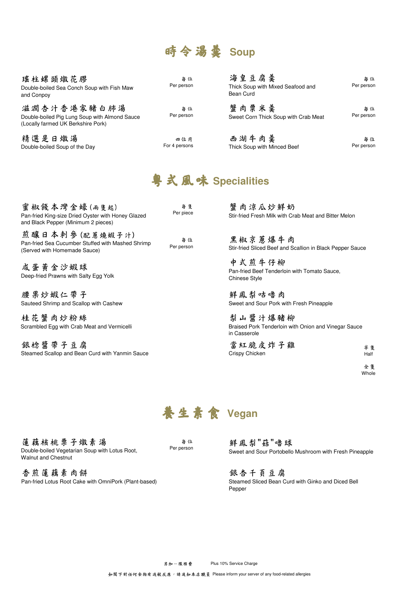# 時令湯羹 **Soup**

| 瑤柱螺頭燉花膠<br>Double-boiled Sea Conch Soup with Fish Maw<br>and Conpoy                                | 每位<br>Per person | 海皇豆腐羹<br>Thick Soup with Mixed Seafood and<br>Bean Curd | 每位<br>Per person |
|----------------------------------------------------------------------------------------------------|------------------|---------------------------------------------------------|------------------|
| 滋潤杏汁香港家豬白肺湯<br>Double-boiled Pig Lung Soup with Almond Sauce<br>(Locally farmed UK Berkshire Pork) | 每位<br>Per person | 蟹肉粟米羹<br>Sweet Corn Thick Soup with Crab Meat           | 每位<br>Per person |
| 姓溲旦口脉涅                                                                                             | $-1$ $-1$        | 工泪片太羔                                                   | $k_{1}$          |

精選是日燉湯 Double-boiled Soup of the Day

四位用 For 4 persons

| 西湖牛肉羹                       | 每位         |
|-----------------------------|------------|
| Thick Soup with Minced Beef | Per person |

# 粵式風味 **Specialities**

每隻 Per piece 煎釀日本刺參(配蔥燒蝦子汁) Pan-fried Sea Cucumber Stuffed with Mashed Shrimp (Served with Homemade Sauce) 蜜椒餞本灣金蠔(兩隻起) Pan-fried King-size Dried Oyster with Honey Glazed and Black Pepper (Minimum 2 pieces) 每位 Per person

咸蛋黃金沙蝦球 Deep-fried Prawns with Salty Egg Yolk

腰果炒蝦仁帶子 Sauteed Shrimp and Scallop with Cashew

桂花蟹肉炒粉絲 Scrambled Egg with Crab Meat and Vermicelli

銀棯醬帶子豆腐 Steamed Scallop and Bean Curd with Yanmin Sauce

蟹肉涼瓜炒鮮奶 Stir-fried Fresh Milk with Crab Meat and Bitter Melon

黑椒京蔥爆牛肉 Stir-fried Sliced Beef and Scallion in Black Pepper Sauce

中式煎牛仔柳 Pan-fried Beef Tenderloin with Tomato Sauce, Chinese Style

鮮鳳梨咕嚕肉 Sweet and Sour Pork with Fresh Pineapple

梨山醬汁爆豬柳 Braised Pork Tenderloin with Onion and Vinegar Sauce in Casserole

| 當紅脆皮炸子雞        | 半隻   |
|----------------|------|
| Crispy Chicken | Half |

全隻 Whole



蓮藕核桃栗子燉素湯 Double-boiled Vegetarian Soup with Lotus Root, Walnut and Chestnut

香煎蓮藕素肉餅 Pan-fried Lotus Root Cake with OmniPork (Plant-based)

每位 Per person

鮮鳳梨"菇"嚕球 Sweet and Sour Portobello Mushroom with Fresh Pineapple

銀杏千頁豆腐 Steamed Sliced Bean Curd with Ginko and Diced Bell Pepper